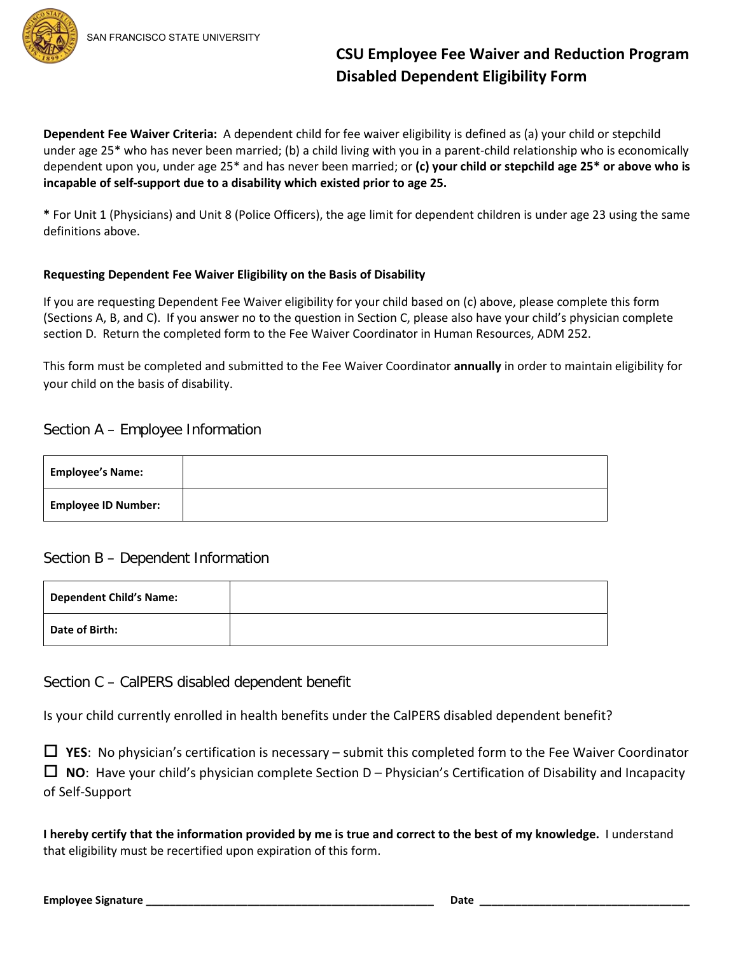

**CSU Employee Fee Waiver and Reduction Program Disabled Dependent Eligibility Form**

**Dependent Fee Waiver Criteria:** A dependent child for fee waiver eligibility is defined as (a) your child or stepchild under age 25\* who has never been married; (b) a child living with you in a parent-child relationship who is economically dependent upon you, under age 25\* and has never been married; or **(c) your child or stepchild age 25\* or above who is incapable of self-support due to a disability which existed prior to age 25.**

**\*** For Unit 1 (Physicians) and Unit 8 (Police Officers), the age limit for dependent children is under age 23 using the same definitions above.

### **Requesting Dependent Fee Waiver Eligibility on the Basis of Disability**

If you are requesting Dependent Fee Waiver eligibility for your child based on (c) above, please complete this form (Sections A, B, and C). If you answer no to the question in Section C, please also have your child's physician complete section D. Return the completed form to the Fee Waiver Coordinator in Human Resources, ADM 252.

This form must be completed and submitted to the Fee Waiver Coordinator **annually** in order to maintain eligibility for your child on the basis of disability.

## Section A – Employee Information

| <b>Employee's Name:</b>    |  |
|----------------------------|--|
| <b>Employee ID Number:</b> |  |

## Section B – Dependent Information

| <b>Dependent Child's Name:</b> |  |
|--------------------------------|--|
| Date of Birth:                 |  |

Section C – CalPERS disabled dependent benefit

Is your child currently enrolled in health benefits under the CalPERS disabled dependent benefit?

 **YES**: No physician's certification is necessary – submit this completed form to the Fee Waiver Coordinator **NO**: Have your child's physician complete Section D – Physician's Certification of Disability and Incapacity of Self-Support

**I hereby certify that the information provided by me is true and correct to the best of my knowledge.** I understand that eligibility must be recertified upon expiration of this form.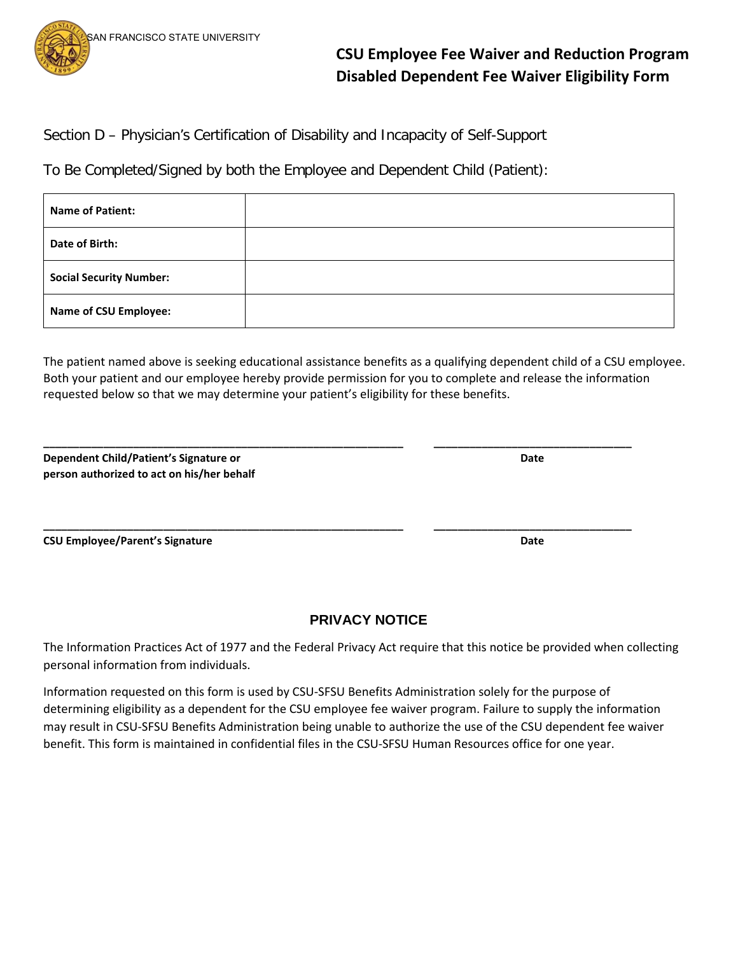

**CSU Employee Fee Waiver and Reduction Program Disabled Dependent Fee Waiver Eligibility Form**

Section D – Physician's Certification of Disability and Incapacity of Self-Support

To Be Completed/Signed by both the Employee and Dependent Child (Patient):

| <b>Name of Patient:</b>        |  |
|--------------------------------|--|
| Date of Birth:                 |  |
| <b>Social Security Number:</b> |  |
| <b>Name of CSU Employee:</b>   |  |

The patient named above is seeking educational assistance benefits as a qualifying dependent child of a CSU employee. Both your patient and our employee hereby provide permission for you to complete and release the information requested below so that we may determine your patient's eligibility for these benefits.

**\_\_\_\_\_\_\_\_\_\_\_\_\_\_\_\_\_\_\_\_\_\_\_\_\_\_\_\_\_\_\_\_\_\_\_\_\_\_\_\_\_\_\_\_\_\_\_\_\_\_\_\_\_\_\_\_\_\_\_\_ \_\_\_\_\_\_\_\_\_\_\_\_\_\_\_\_\_\_\_\_\_\_\_\_\_\_\_\_\_\_\_\_\_**

**Dependent Child/Patient's Signature or Date person authorized to act on his/her behalf**

**CSU Employee/Parent's Signature Date Accord Accord Accord Accord Accord Accord Accord Accord Accord Accord Accord Accord Accord Accord Accord Accord Accord Accord Accord Accord Accord Accord Accord Accord Accord Accord Ac** 

# **PRIVACY NOTICE**

The Information Practices Act of 1977 and the Federal Privacy Act require that this notice be provided when collecting personal information from individuals.

Information requested on this form is used by CSU-SFSU Benefits Administration solely for the purpose of determining eligibility as a dependent for the CSU employee fee waiver program. Failure to supply the information may result in CSU-SFSU Benefits Administration being unable to authorize the use of the CSU dependent fee waiver benefit. This form is maintained in confidential files in the CSU-SFSU Human Resources office for one year.

**\_\_\_\_\_\_\_\_\_\_\_\_\_\_\_\_\_\_\_\_\_\_\_\_\_\_\_\_\_\_\_\_\_\_\_\_\_\_\_\_\_\_\_\_\_\_\_\_\_\_\_\_\_\_\_\_\_\_\_\_ \_\_\_\_\_\_\_\_\_\_\_\_\_\_\_\_\_\_\_\_\_\_\_\_\_\_\_\_\_\_\_\_\_**